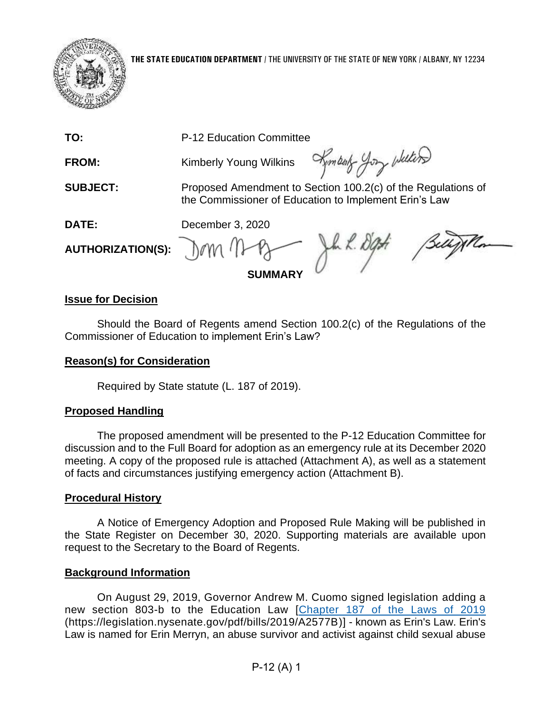

**THE STATE EDUCATION DEPARTMENT** / THE UNIVERSITY OF THE STATE OF NEW YORK / ALBANY, NY 12234

FROM: Kimberly Young Wilkins

Kembert you whiters

**SUBJECT:** Proposed Amendment to Section 100.2(c) of the Regulations of the Commissioner of Education to Implement Erin's Law

**DATE:** December 3, 2020

## **AUTHORIZATION(S):**

 $k.$   $k.$   $\partial q$ **SUMMARY**

### **Issue for Decision**

Should the Board of Regents amend Section 100.2(c) of the Regulations of the Commissioner of Education to implement Erin's Law?

#### **Reason(s) for Consideration**

Required by State statute (L. 187 of 2019).

### **Proposed Handling**

The proposed amendment will be presented to the P-12 Education Committee for discussion and to the Full Board for adoption as an emergency rule at its December 2020 meeting. A copy of the proposed rule is attached (Attachment A), as well as a statement of facts and circumstances justifying emergency action (Attachment B).

#### **Procedural History**

A Notice of Emergency Adoption and Proposed Rule Making will be published in the State Register on December 30, 2020. Supporting materials are available upon request to the Secretary to the Board of Regents.

### **Background Information**

On August 29, 2019, Governor Andrew M. Cuomo signed legislation adding a new section 803-b to the Education Law [\[Chapter 187 of the Laws of 2019](https://legislation.nysenate.gov/pdf/bills/2019/A2577B) (https://legislation.nysenate.gov/pdf/bills/2019/A2577B)] - known as Erin's Law. Erin's Law is named for Erin Merryn, an abuse survivor and activist against child sexual abuse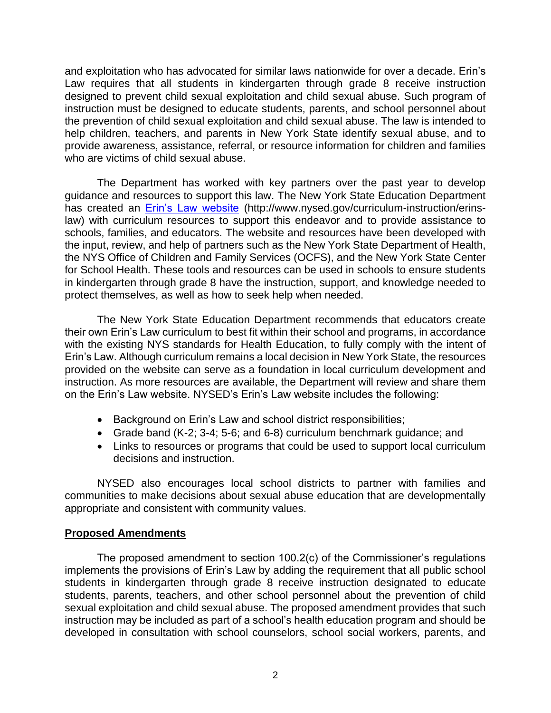and exploitation who has advocated for similar laws nationwide for over a decade. Erin's Law requires that all students in kindergarten through grade 8 receive instruction designed to prevent child sexual exploitation and child sexual abuse. Such program of instruction must be designed to educate students, parents, and school personnel about the prevention of child sexual exploitation and child sexual abuse. The law is intended to help children, teachers, and parents in New York State identify sexual abuse, and to provide awareness, assistance, referral, or resource information for children and families who are victims of child sexual abuse.

The Department has worked with key partners over the past year to develop guidance and resources to support this law. The New York State Education Department has created an **Erin's Law website** (http://www.nysed.gov/curriculum-instruction/erinslaw) with curriculum resources to support this endeavor and to provide assistance to schools, families, and educators. The website and resources have been developed with the input, review, and help of partners such as the New York State Department of Health, the NYS Office of Children and Family Services (OCFS), and the New York State Center for School Health. These tools and resources can be used in schools to ensure students in kindergarten through grade 8 have the instruction, support, and knowledge needed to protect themselves, as well as how to seek help when needed.

The New York State Education Department recommends that educators create their own Erin's Law curriculum to best fit within their school and programs, in accordance with the existing NYS standards for Health Education, to fully comply with the intent of Erin's Law. Although curriculum remains a local decision in New York State, the resources provided on the website can serve as a foundation in local curriculum development and instruction. As more resources are available, the Department will review and share them on the Erin's Law website. NYSED's Erin's Law website includes the following:

- Background on Erin's Law and school district responsibilities;
- Grade band (K-2; 3-4; 5-6; and 6-8) curriculum benchmark guidance; and
- Links to resources or programs that could be used to support local curriculum decisions and instruction.

NYSED also encourages local school districts to partner with families and communities to make decisions about sexual abuse education that are developmentally appropriate and consistent with community values.

#### **Proposed Amendments**

The proposed amendment to section 100.2(c) of the Commissioner's regulations implements the provisions of Erin's Law by adding the requirement that all public school students in kindergarten through grade 8 receive instruction designated to educate students, parents, teachers, and other school personnel about the prevention of child sexual exploitation and child sexual abuse. The proposed amendment provides that such instruction may be included as part of a school's health education program and should be developed in consultation with school counselors, school social workers, parents, and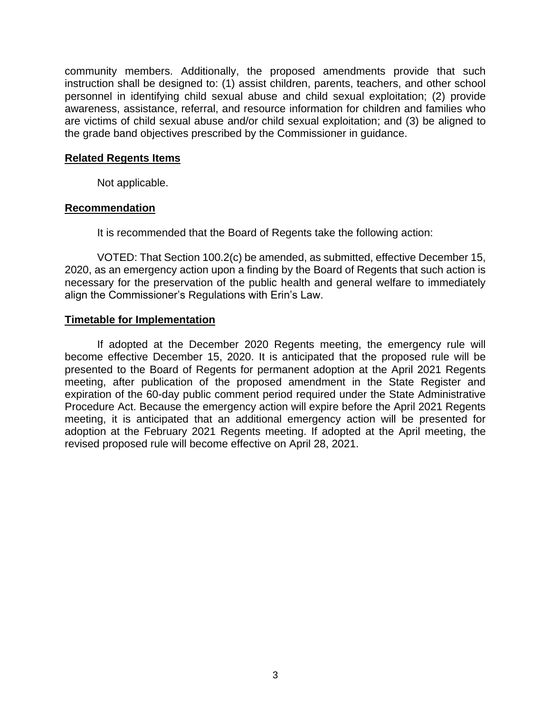community members. Additionally, the proposed amendments provide that such instruction shall be designed to: (1) assist children, parents, teachers, and other school personnel in identifying child sexual abuse and child sexual exploitation; (2) provide awareness, assistance, referral, and resource information for children and families who are victims of child sexual abuse and/or child sexual exploitation; and (3) be aligned to the grade band objectives prescribed by the Commissioner in guidance.

#### **Related Regents Items**

Not applicable.

#### **Recommendation**

It is recommended that the Board of Regents take the following action:

VOTED: That Section 100.2(c) be amended, as submitted, effective December 15, 2020, as an emergency action upon a finding by the Board of Regents that such action is necessary for the preservation of the public health and general welfare to immediately align the Commissioner's Regulations with Erin's Law.

#### **Timetable for Implementation**

If adopted at the December 2020 Regents meeting, the emergency rule will become effective December 15, 2020. It is anticipated that the proposed rule will be presented to the Board of Regents for permanent adoption at the April 2021 Regents meeting, after publication of the proposed amendment in the State Register and expiration of the 60-day public comment period required under the State Administrative Procedure Act. Because the emergency action will expire before the April 2021 Regents meeting, it is anticipated that an additional emergency action will be presented for adoption at the February 2021 Regents meeting. If adopted at the April meeting, the revised proposed rule will become effective on April 28, 2021.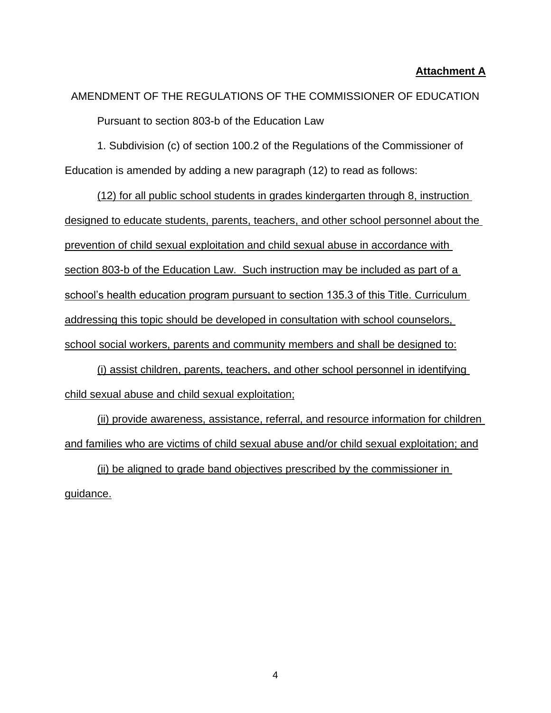#### **Attachment A**

# AMENDMENT OF THE REGULATIONS OF THE COMMISSIONER OF EDUCATION Pursuant to section 803-b of the Education Law

1. Subdivision (c) of section 100.2 of the Regulations of the Commissioner of Education is amended by adding a new paragraph (12) to read as follows:

(12) for all public school students in grades kindergarten through 8, instruction designed to educate students, parents, teachers, and other school personnel about the prevention of child sexual exploitation and child sexual abuse in accordance with section 803-b of the Education Law. Such instruction may be included as part of a school's health education program pursuant to section 135.3 of this Title. Curriculum addressing this topic should be developed in consultation with school counselors, school social workers, parents and community members and shall be designed to:

(i) assist children, parents, teachers, and other school personnel in identifying child sexual abuse and child sexual exploitation;

(ii) provide awareness, assistance, referral, and resource information for children and families who are victims of child sexual abuse and/or child sexual exploitation; and

(ii) be aligned to grade band objectives prescribed by the commissioner in guidance.

4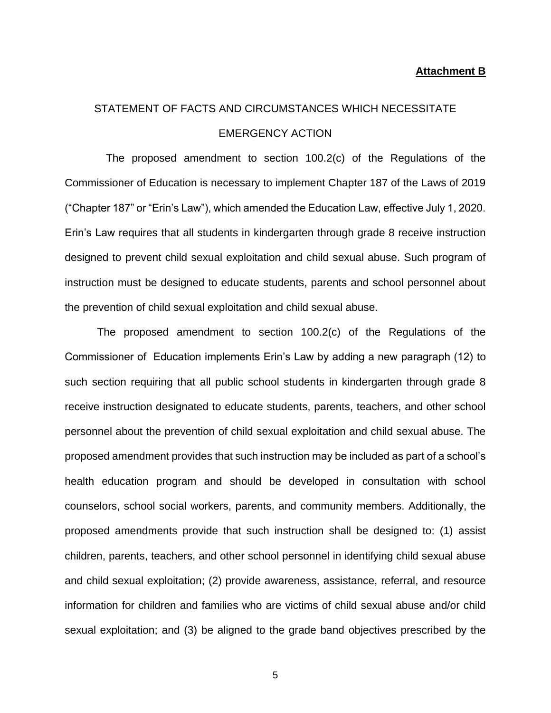#### **Attachment B**

## STATEMENT OF FACTS AND CIRCUMSTANCES WHICH NECESSITATE EMERGENCY ACTION

The proposed amendment to section 100.2(c) of the Regulations of the Commissioner of Education is necessary to implement Chapter 187 of the Laws of 2019 ("Chapter 187" or "Erin's Law"), which amended the Education Law, effective July 1, 2020. Erin's Law requires that all students in kindergarten through grade 8 receive instruction designed to prevent child sexual exploitation and child sexual abuse. Such program of instruction must be designed to educate students, parents and school personnel about the prevention of child sexual exploitation and child sexual abuse.

The proposed amendment to section 100.2(c) of the Regulations of the Commissioner of Education implements Erin's Law by adding a new paragraph (12) to such section requiring that all public school students in kindergarten through grade 8 receive instruction designated to educate students, parents, teachers, and other school personnel about the prevention of child sexual exploitation and child sexual abuse. The proposed amendment provides that such instruction may be included as part of a school's health education program and should be developed in consultation with school counselors, school social workers, parents, and community members. Additionally, the proposed amendments provide that such instruction shall be designed to: (1) assist children, parents, teachers, and other school personnel in identifying child sexual abuse and child sexual exploitation; (2) provide awareness, assistance, referral, and resource information for children and families who are victims of child sexual abuse and/or child sexual exploitation; and (3) be aligned to the grade band objectives prescribed by the

5